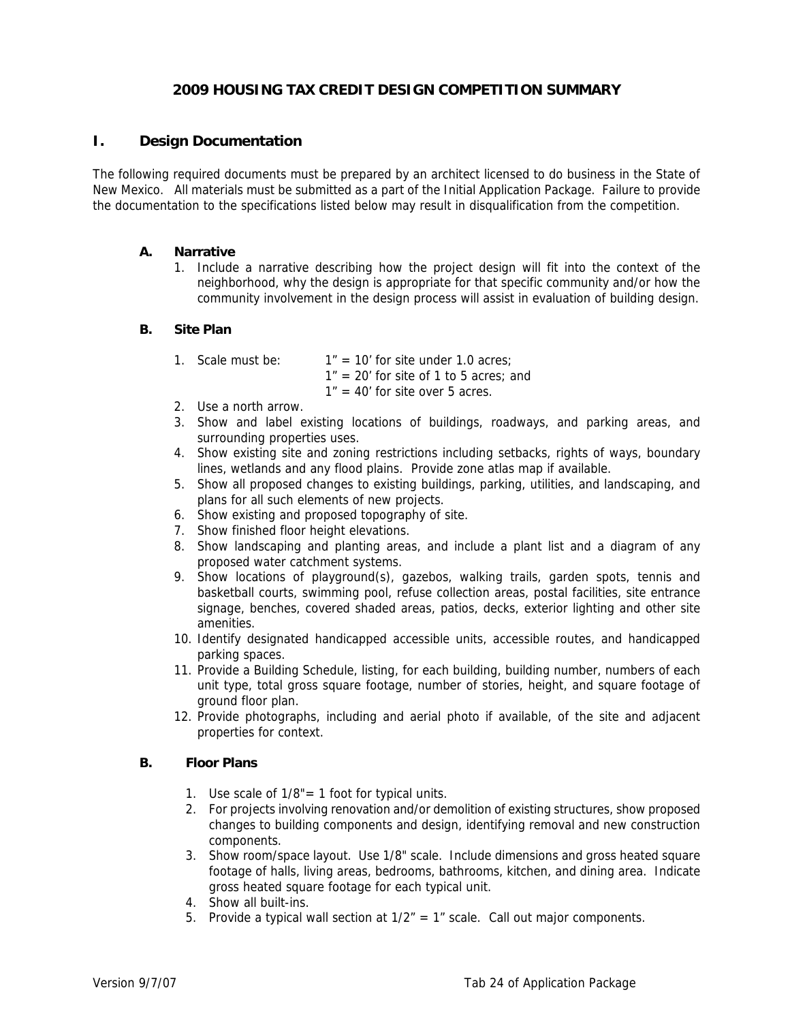# **2009 HOUSING TAX CREDIT DESIGN COMPETITION SUMMARY**

### **I. Design Documentation**

The following required documents must be prepared by an architect licensed to do business in the State of New Mexico. All materials must be submitted as a part of the Initial Application Package. Failure to provide the documentation to the specifications listed below may result in disqualification from the competition.

#### **A. Narrative**

1. Include a narrative describing how the project design will fit into the context of the neighborhood, why the design is appropriate for that specific community and/or how the community involvement in the design process will assist in evaluation of building design.

#### **B. Site Plan**

| 1. Scale must be: | $1" = 10'$ for site under 1.0 acres:     |
|-------------------|------------------------------------------|
|                   | $1" = 20'$ for site of 1 to 5 acres; and |
|                   | $1" = 40'$ for site over 5 acres.        |

- 2. Use a north arrow.
- 3. Show and label existing locations of buildings, roadways, and parking areas, and surrounding properties uses.
- 4. Show existing site and zoning restrictions including setbacks, rights of ways, boundary lines, wetlands and any flood plains. Provide zone atlas map if available.
- 5. Show all proposed changes to existing buildings, parking, utilities, and landscaping, and plans for all such elements of new projects.
- 6. Show existing and proposed topography of site.
- 7. Show finished floor height elevations.
- 8. Show landscaping and planting areas, and include a plant list and a diagram of any proposed water catchment systems.
- 9. Show locations of playground(s), gazebos, walking trails, garden spots, tennis and basketball courts, swimming pool, refuse collection areas, postal facilities, site entrance signage, benches, covered shaded areas, patios, decks, exterior lighting and other site amenities.
- 10. Identify designated handicapped accessible units, accessible routes, and handicapped parking spaces.
- 11. Provide a Building Schedule, listing, for each building, building number, numbers of each unit type, total gross square footage, number of stories, height, and square footage of ground floor plan.
- 12. Provide photographs, including and aerial photo if available, of the site and adjacent properties for context.

### **B. Floor Plans**

- 1. Use scale of 1/8"= 1 foot for typical units.
- 2. For projects involving renovation and/or demolition of existing structures, show proposed changes to building components and design, identifying removal and new construction components.
- 3. Show room/space layout. Use 1/8" scale. Include dimensions and gross heated square footage of halls, living areas, bedrooms, bathrooms, kitchen, and dining area. Indicate gross heated square footage for each typical unit.
- 4. Show all built-ins.
- 5. Provide a typical wall section at  $1/2<sup>n</sup> = 1<sup>n</sup>$  scale. Call out major components.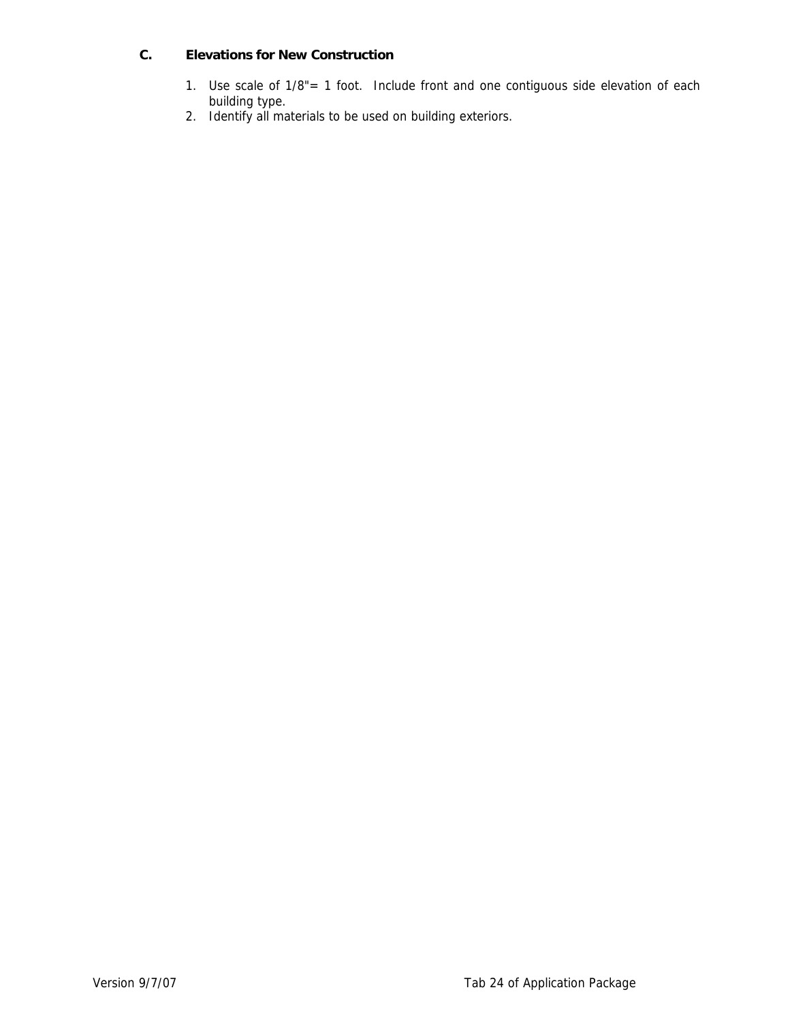# **C. Elevations for New Construction**

- 1. Use scale of 1/8"= 1 foot. Include front and one contiguous side elevation of each building type.
- 2. Identify all materials to be used on building exteriors.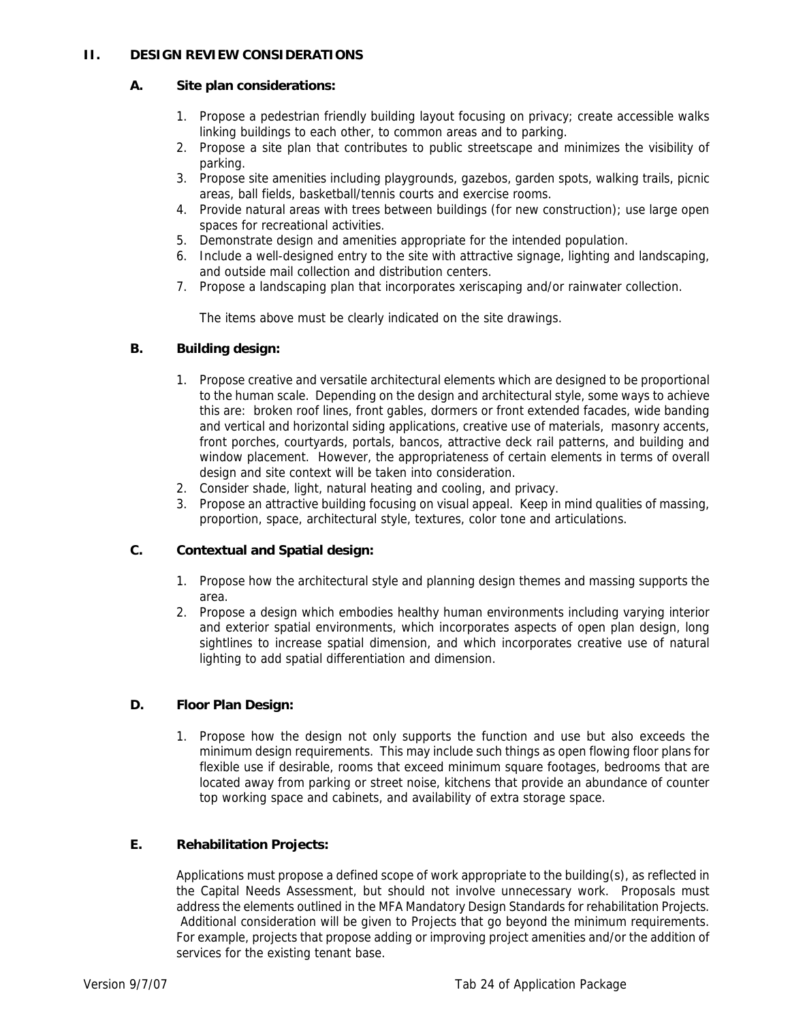# **II. DESIGN REVIEW CONSIDERATIONS**

### **A. Site plan considerations:**

- 1. Propose a pedestrian friendly building layout focusing on privacy; create accessible walks linking buildings to each other, to common areas and to parking.
- 2. Propose a site plan that contributes to public streetscape and minimizes the visibility of parking.
- 3. Propose site amenities including playgrounds, gazebos, garden spots, walking trails, picnic areas, ball fields, basketball/tennis courts and exercise rooms.
- 4. Provide natural areas with trees between buildings (for new construction); use large open spaces for recreational activities.
- 5. Demonstrate design and amenities appropriate for the intended population.
- 6. Include a well-designed entry to the site with attractive signage, lighting and landscaping, and outside mail collection and distribution centers.
- 7. Propose a landscaping plan that incorporates xeriscaping and/or rainwater collection.

The items above must be clearly indicated on the site drawings.

### **B. Building design:**

- 1. Propose creative and versatile architectural elements which are designed to be proportional to the human scale. Depending on the design and architectural style, some ways to achieve this are: broken roof lines, front gables, dormers or front extended facades, wide banding and vertical and horizontal siding applications, creative use of materials, masonry accents, front porches, courtyards, portals, bancos, attractive deck rail patterns, and building and window placement. However, the appropriateness of certain elements in terms of overall design and site context will be taken into consideration.
- 2. Consider shade, light, natural heating and cooling, and privacy.
- 3. Propose an attractive building focusing on visual appeal. Keep in mind qualities of massing, proportion, space, architectural style, textures, color tone and articulations.

### **C. Contextual and Spatial design:**

- 1. Propose how the architectural style and planning design themes and massing supports the area.
- 2. Propose a design which embodies healthy human environments including varying interior and exterior spatial environments, which incorporates aspects of open plan design, long sightlines to increase spatial dimension, and which incorporates creative use of natural lighting to add spatial differentiation and dimension.

### **D. Floor Plan Design:**

1. Propose how the design not only supports the function and use but also exceeds the minimum design requirements. This may include such things as open flowing floor plans for flexible use if desirable, rooms that exceed minimum square footages, bedrooms that are located away from parking or street noise, kitchens that provide an abundance of counter top working space and cabinets, and availability of extra storage space.

### **E. Rehabilitation Projects:**

Applications must propose a defined scope of work appropriate to the building(s), as reflected in the Capital Needs Assessment, but should not involve unnecessary work. Proposals must address the elements outlined in the MFA Mandatory Design Standards for rehabilitation Projects. Additional consideration will be given to Projects that go beyond the minimum requirements. For example, projects that propose adding or improving project amenities and/or the addition of services for the existing tenant base.